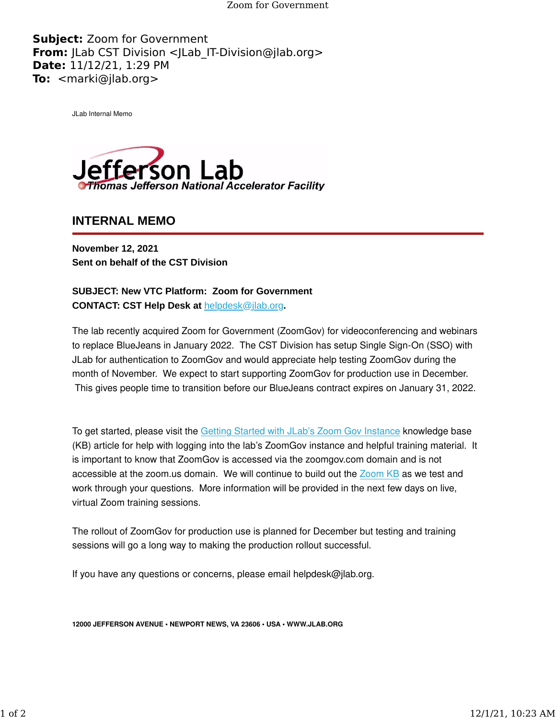Zoom for Government

**Subject:** Zoom for Government **From:** JLab CST Division <JLab IT-Division@jlab.org> **Date:** 11/12/21, 1:29 PM **To:** <marki@jlab.org>

JLab Internal Memo



**INTERNAL MEMO**

**November 12, 2021 Sent on behalf of the CST Division**

**SUBJECT: New VTC Platform: Zoom for Government CONTACT: CST Help Desk at** [helpdesk@jlab.org](mailto:helpdesk@jlab.org)**.**

The lab recently acquired Zoom for Government (ZoomGov) for videoconferencing and webinars to replace BlueJeans in January 2022. The CST Division has setup Single Sign-On (SSO) with JLab for authentication to ZoomGov and would appreciate help testing ZoomGov during the month of November. We expect to start supporting ZoomGov for production use in December. This gives people time to transition before our BlueJeans contract expires on January 31, 2022.

To get started, please visit the [Getting Started with JLab's Zoom Gov Instance](https://urldefense.proofpoint.com/v2/url?u=https-3A__jlab.us11.list-2Dmanage.com_track_click-3Fu-3D1de9c43e6d5e45ff0ecd664cd-26id-3D3e2a458254-26e-3D7eb11e06d1&d=DwMFaQ&c=CJqEzB1piLOyyvZjb8YUQw&r=i3BxiInvFIdWuzU_zoMBCQ&m=Hdcnv8ztdY6tXydGJeMl4ac2Evw51n-6Py5deF8MeeUyUSBbWN7sRCvve-lKlp6t&s=oputFo-8v1jPTYeppK-orz9grafLOLFHOkn84uOvFHM&e=) knowledge base (KB) article for help with logging into the lab's ZoomGov instance and helpful training material. It is important to know that ZoomGov is accessed via the zoomgov.com domain and is not accessible at the zoom.us domain. We will continue to build out the [Zoom KB](https://urldefense.proofpoint.com/v2/url?u=https-3A__jlab.us11.list-2Dmanage.com_track_click-3Fu-3D1de9c43e6d5e45ff0ecd664cd-26id-3Db581185e48-26e-3D7eb11e06d1&d=DwMFaQ&c=CJqEzB1piLOyyvZjb8YUQw&r=i3BxiInvFIdWuzU_zoMBCQ&m=Hdcnv8ztdY6tXydGJeMl4ac2Evw51n-6Py5deF8MeeUyUSBbWN7sRCvve-lKlp6t&s=qP3SkvNmRHWnrBai0meVB5SPPiJDAIaLiPbiDaEAOmk&e=) as we test and work through your questions. More information will be provided in the next few days on live, virtual Zoom training sessions.

The rollout of ZoomGov for production use is planned for December but testing and training sessions will go a long way to making the production rollout successful.

If you have any questions or concerns, please email helpdesk@jlab.org.

**12000 JEFFERSON AVENUE • NEWPORT NEWS, VA 23606 • USA • WWW.JLAB.ORG**